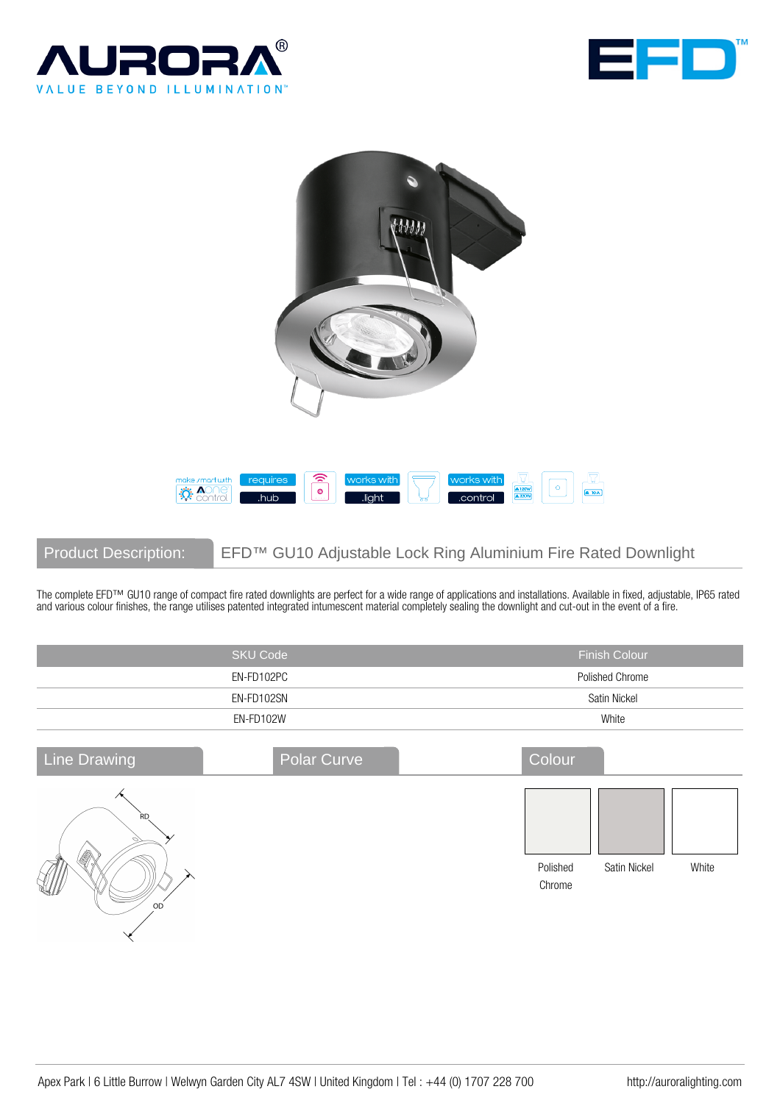





Product Description: EFD™ GU10 Adjustable Lock Ring Aluminium Fire Rated Downlight

The complete EFD™ GU10 range of compact fire rated downlights are perfect for a wide range of applications and installations. Available in fixed, adjustable, IP65 rated and various colour finishes, the range utilises patented integrated intumescent material completely sealing the downlight and cut-out in the event of a fire.

|                                   | <b>SKU Code</b> | <b>Finish Colour</b>                        |  |
|-----------------------------------|-----------------|---------------------------------------------|--|
|                                   | EN-FD102PC      | Polished Chrome                             |  |
| EN-FD102SN                        |                 | Satin Nickel                                |  |
|                                   | EN-FD102W       | White                                       |  |
| <b>Line Drawing</b>               | Polar Curve     | Colour                                      |  |
| <b>RD</b><br>Î<br>OD<br>$\lambda$ |                 | Polished<br>Satin Nickel<br>White<br>Chrome |  |